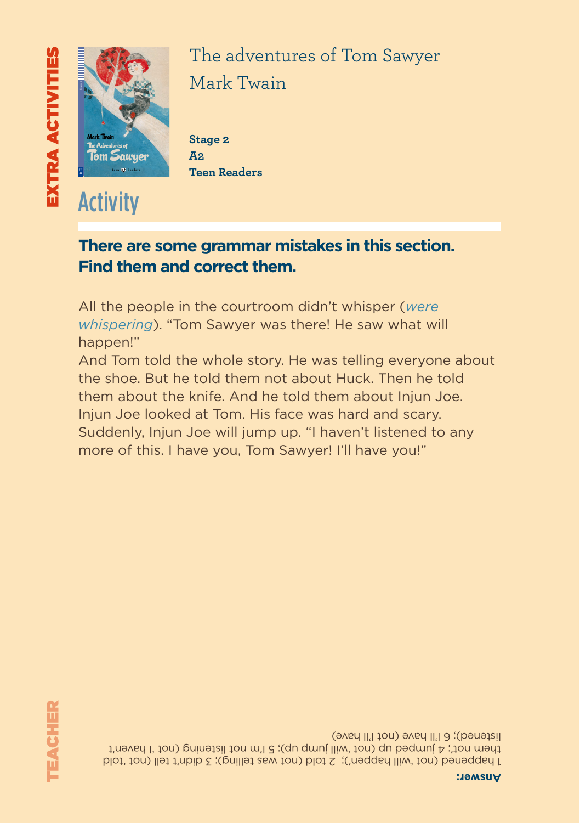# EXTRA ACTIVITIES TEACHER *everyone: at home, in school and in church. With his best friends, Joe, Ben and Huckleberry, Tom lives an exciting outdoor life. But he begins to grow up when pretty Becky Thatcher comes to town, and when something terrible happens in this quiet town near the Mississippi. - A section focusing on Schools in Tom Sawyer's Day* **The Adventures of Tom Sawyer**  $\blacksquare$ **Eli Readers is a beautifully illustrated series of timeless classics and specially-written stories for learners of English.**



The adventures of Tom Sawyer Mark Twain *Meet Tom Sawyer, a boy with a good heart who's always in trouble with* 

Stage 2 **A2 Teen Readers**

### **There are some grammar mistakes in this section. Find them and correct them.**

All the people in the courtroom didn't whisper (*were whispering*). "Tom Sawyer was there! He saw what will happen!"

And Tom told the whole story. He was telling everyone about the shoe. But he told them not about Huck. Then he told them about the knife. And he told them about Injun Joe. Injun Joe looked at Tom. His face was hard and scary. Suddenly, Injun Joe will jump up. "I haven't listened to any more of this. I have you, Tom Sawyer! I'll have you!"

1 happened (not 'will happen'); 2 told (not was telling); 3 didn't tell (not 'told the med in the pedant is the pedant in the set of the them in the top of the them in the them in the the theor listened); 6 I'll have (not I'll have)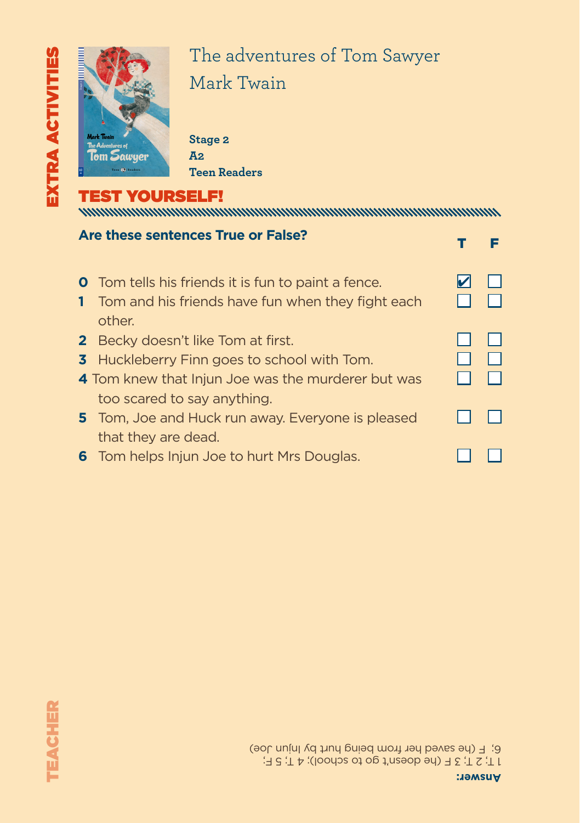

## The adventures of Tom Sawyer Mark Twain *Meet Tom Sawyer, a boy with a good heart who's always in trouble with*

Stage 2 **A2 Teen Readers**

#### TEST YOURSELF!

| Are these sentences True or False?                                                                                                                                                   |  |
|--------------------------------------------------------------------------------------------------------------------------------------------------------------------------------------|--|
| <b>O</b> Tom tells his friends it is fun to paint a fence.<br>Tom and his friends have fun when they fight each<br>other.                                                            |  |
| <b>2</b> Becky doesn't like Tom at first.<br><b>3</b> Huckleberry Finn goes to school with Tom.<br>4 Tom knew that Injun Joe was the murderer but was<br>too scared to say anything. |  |
| 5 Tom, Joe and Huck run away. Everyone is pleased<br>that they are dead.                                                                                                             |  |
| <b>6</b> Tom helps Injun Joe to hurt Mrs Douglas.                                                                                                                                    |  |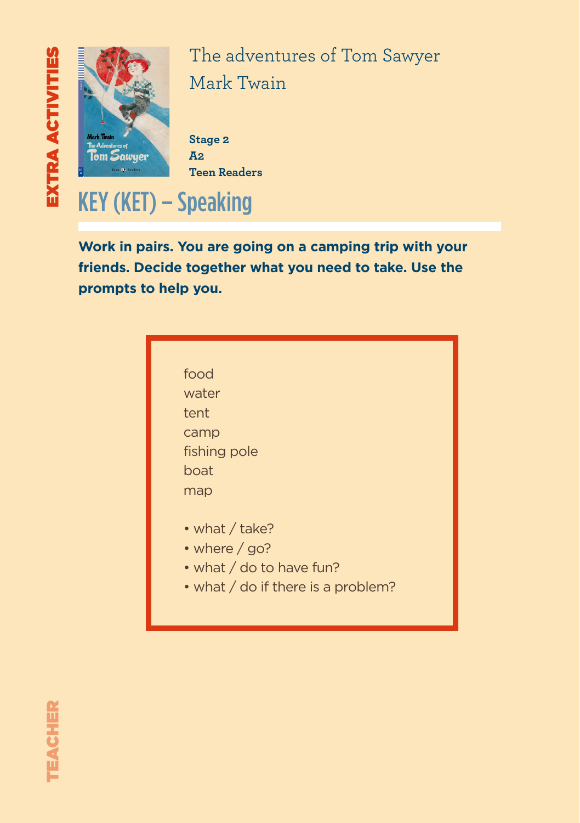

The adventures of Tom Sawyer Mark Twain *Meet Tom Sawyer, a boy with a good heart who's always in trouble with* 

Stage 2 **A2 Teen Readers**

# KEY (KET) – Speaking

**Work in pairs. You are going on a camping trip with your friends. Decide together what you need to take. Use the prompts to help you.**

| food                     |
|--------------------------|
| water                    |
| tent                     |
| camp                     |
| fishing pole             |
| boat                     |
| map                      |
|                          |
| • what / take?           |
| • where / go?            |
| • what / do to have fun? |

• what / do if there is a problem?